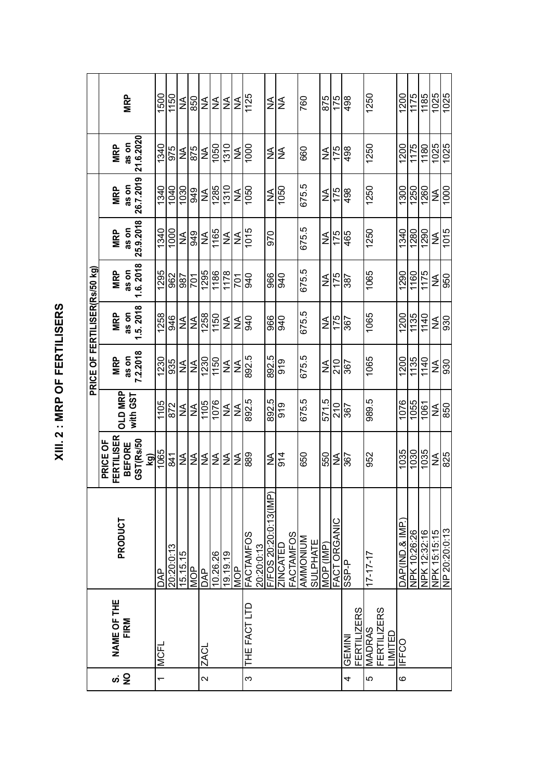|                |                    |                                                 |                   |                  | <b>PRICE OF FERTILISER(Rs/50 kg)</b> |                  |              |            |                   |              |            |
|----------------|--------------------|-------------------------------------------------|-------------------|------------------|--------------------------------------|------------------|--------------|------------|-------------------|--------------|------------|
|                |                    |                                                 | PRICE OF          |                  |                                      |                  |              |            |                   |              |            |
| ဖ              | NAME OF THE        | PRODUCT                                         | <b>FERTILISER</b> | OLD MRP          | <b>MRP</b>                           | <b>MRP</b>       | <b>MRP</b>   | <b>MRP</b> | <b>MRP</b>        | <b>MRP</b>   |            |
| $\frac{1}{2}$  | <b>FIRM</b>        |                                                 | <b>BEFORE</b>     | with GST         | as on                                | as on            | as on        | as on      | as on             | as on        | <b>MRP</b> |
|                |                    |                                                 | GST(Rs/50<br>kg)  |                  | 7.2.2018                             | 1.5.2018         | 1.6.2018     | 25.9.2018  | 26.7.2019         | 21.6.2020    |            |
| $\overline{ }$ | <b>MCFL</b>        | DAP                                             | 1065              | $\frac{1105}{1}$ | 1230                                 | 1258             | 1295         | 1340       | 1340              | 1340         | 1500       |
|                |                    | 20:20:013                                       | $\overline{8}$    | 872              | 935                                  | 946              | 962          | 1000       | 1040              | 975          | 1150       |
|                |                    | 15.15.15                                        | ≨                 | ЯÁ               | I≨                                   | ≸                | 987          | ₹          | $\overline{1030}$ | ≸            | ≨          |
|                |                    | <b>MOP</b>                                      | ≨                 | ≨                | ≨                                    | ≨                | <b>701</b>   | 949        | 949               | 875          | 850        |
| $\sim$         | <b>ZACL</b>        | DAP                                             | ≨                 | 1105             | 1230                                 | 1258             | 1295         | ≨          | ≨                 | ≸            | ≨          |
|                |                    | 10.26.26                                        | ≸                 | 1076             | 1150                                 | 1150             | 1186         | 1165       | 1285              | 1050         | ≨          |
|                |                    | 19.19.19                                        | ₹                 | ≨                | ≸                                    | ≨                | 178          | ≸          | $\overline{1310}$ | 1310         | ı≨l        |
|                |                    | <b>AON</b>                                      | ≨                 | ≨                | ≨                                    | ≨                | <b>701</b>   | ≨          | ≨                 | ≨            | ≨          |
| $\infty$       | THE FACT LTD       | <b>FACTAMFOS</b>                                | 889               | 892.5            | 892.5                                | 940              | 940          | 1015       | 1050              | 1000         | 1125       |
|                |                    |                                                 | ≸                 | Ю<br>892.        | 5<br>892.                            | 966              | 966          | 970        | ≨                 | ≨            | ≨          |
|                |                    | 20:20:0:13<br>F/FOS 20:20:0:13(IMP)<br>ZINCATED | 914               | 919              | 919                                  | 940              | 940          |            | 1050              | ≨            | ≨          |
|                |                    | FACTAMFOS                                       |                   |                  |                                      |                  |              |            |                   |              |            |
|                |                    | MUNOMINA                                        | 650               | 675.5            | 675.5                                | 675.5            | 675.5        | 675.5      | 675.5             | 660          | 760        |
|                |                    | <b>SULPHATE</b>                                 |                   |                  |                                      |                  |              |            |                   |              |            |
|                |                    | MOP (IMP)                                       | 550               | 571.5            | ≨                                    | ≨                | ≨            | ≨          | ≸                 | ≨            | 875        |
|                |                    | FACT ORGANIC                                    | ≨                 | 210              | 210                                  | 175              | 175          | 175        | 175               | 175          | 175        |
| 4              | GEMIN              | SSP-P                                           | $\overline{367}$  | $\overline{367}$ | $\sqrt{367}$                         | $\overline{367}$ | $\sqrt{387}$ | 465        | 498               | $\sqrt{498}$ | 498        |
|                | <b>FERTILIZERS</b> |                                                 |                   |                  |                                      |                  |              |            |                   |              |            |
| မာ             | MADRAS             | $17 - 17 - 17$                                  | 952               | 989.5            | 1065                                 | 1065             | 1065         | 1250       | 1250              | 1250         | 1250       |
|                | <b>FERTILIZERS</b> |                                                 |                   |                  |                                      |                  |              |            |                   |              |            |
|                | MTED               |                                                 |                   |                  |                                      |                  |              |            |                   |              |            |
| $\circ$        | <b>IFFCO</b>       | DAP(IND.& IMP.                                  | 1035              | 1076             | 1200                                 | 1200             | 1290         | 1340       | 1300              | 1200         | 1200       |
|                |                    | NPK 10:26:26                                    | 1030              | 1055             | 1135                                 | 1135             | 1160         | 1280       | 1250              | 1175         | 1175       |
|                |                    | NPK 12:32:16                                    | 1035              | 1061             | 1140                                 | 1140             | 1175         | 1290       | 1260              | 1180         | 1185       |
|                |                    | NPK 15:15:15                                    | ≨                 | ≨                | ≨                                    | ≨                | ≸            | ≨          | ≨                 | 1025         | 1025       |
|                |                    | NP 20:20:0:13                                   | 825               | 850              | 930                                  | 930              | 950          | 1015       | 1000              | 1025         | 1025       |

XIII. 2 : MRP OF FERTILISERS **XIII. 2 : MRP OF FERTILISERS**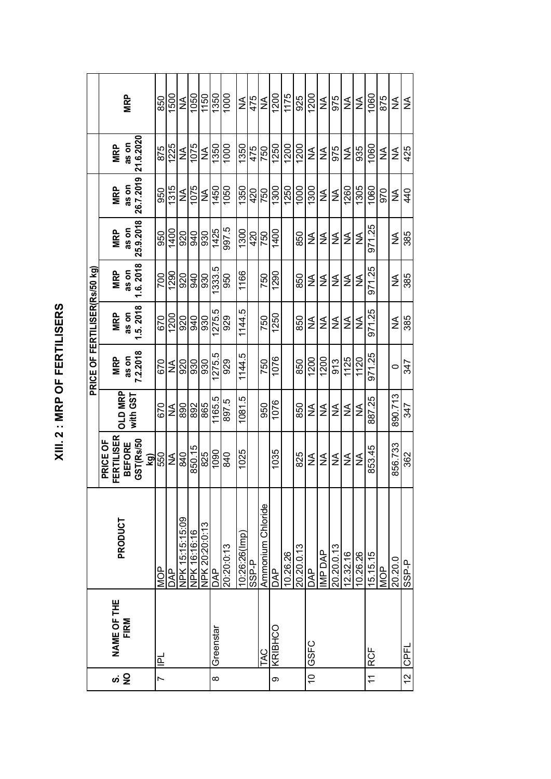|                |                            |                   |                   |            | PRICE OF FERTILISER(Rs/50 kg) |            |            |               |            |            |               |
|----------------|----------------------------|-------------------|-------------------|------------|-------------------------------|------------|------------|---------------|------------|------------|---------------|
|                |                            |                   | PRICE OF          |            |                               |            |            |               |            |            |               |
| ທ່ Q           | <b>NAME OF THE</b><br>FIRM | PRODUCT           | <b>FERTILISER</b> | OLD MRP    | <b>MRP</b>                    | <b>MRP</b> | <b>MRP</b> | <b>MRP</b>    | <b>MRP</b> | <b>MRP</b> |               |
|                |                            |                   | <b>BEFORE</b>     | with GST   | as on                         | as on      | as on      | as on         | as on      | as on      | <b>MRP</b>    |
|                |                            |                   | GST(Rs/50         |            | 7.2.2018                      | 1.5.2018   | 1.6.2018   | 25.9.2018     | 26.7.2019  | 21.6.2020  |               |
|                |                            |                   | kg)               |            |                               |            |            |               |            |            |               |
| r              | 프                          | <b>MOP</b>        | 550               | 670        | 670                           | 670        | 700        | 950           | 950        | 875        | 850           |
|                |                            | <b>AP</b>         | ≨                 | ≨          | ≸                             | 1200       | 1290       | 1400          | 1315       | 1225       | 1500          |
|                |                            | NPK 15:15:15:09   | 840               | 890        | 920                           | 920        | 920        | 920           | ≨          | ≨          | $\frac{1}{2}$ |
|                |                            | NPK 16:16:16      | 850.15            | 892        | 930                           | <b>GRG</b> | 940        | 940           | 1075       | 1075       | 1050          |
|                |                            | NPK 20:20:0:13    | 825               | 865        | 930                           | 930        | 930        | 930           | ≨          | ≨          | 1150          |
| $\infty$       | Greenstar                  | DAP               | 1090              | 1165.5     | 275.5                         | 275.5      | 333.5      | 1425          | 1450       | 1350       | 1350          |
|                |                            | 20:20:0:13        | 840               | 897.5      | 929                           | 929        | 950        | 997.5         | 1050       | 1000       | 1000          |
|                |                            | 10:26:26(lmp)     | 1025              | ró<br>1081 | 1144.5                        | 1144.5     | 1166       | 1300          | 1350       | 1350       | ≨             |
|                |                            | <b>A-dSS</b>      |                   |            |                               |            |            | 420           | 420        | 475        | 475           |
|                | <b>TAC</b>                 | Ammonium Chloride |                   | 950        | 750                           | 750        | 750        | 750           | 750        | 750        | ≨             |
| တ              | KRIBHCO                    | <b>DAP</b>        | 1035              | 1076       | 1076                          | 1250       | 1290       | 1400          | 1300       | 1250       | 1200          |
|                |                            | 10.26.26          |                   |            |                               |            |            |               | 1250       | 1200       | 1175          |
|                |                            | 20.20.0.13        | 825               | 850        | 850                           | 850        | 850        | 850           | 1000       | 1200       | 925           |
| $\tilde{a}$    | <b>GSFC</b>                | <b>DAP</b>        | ≨                 | ≨          | 1200                          | ≨          | ≨          | ≨             | 1300       | ≨          | 1200          |
|                |                            | IMP DAP           | ≸                 | ≨          | 1200                          | ≸          | ≨          | ≨             | ≨          | ≨          | ≨             |
|                |                            | 20.20.0.13        | ≨                 | ≨          | 913                           | ≨          | ≸          | ≨             | ≸          | 975        | 975           |
|                |                            | 12.32.16          | ≨                 | ≨          | 1125                          | ≨          | ≨          | ≨             | 1260       | ≨          | ≨             |
|                |                            | 10.26.26          | ≸                 | ≨          | 1120                          | ≨          | ≨          | $\frac{1}{2}$ | 1305       | 935        | ≨             |
| $\overline{z}$ | <b>RCF</b>                 | 15.15.15          | 853.45            | 887.25     | $\frac{25}{2}$<br>971         | 971.25     | 971.25     | 971.25        | 1060       | 1060       | 1060          |
|                |                            | <b>MOP</b>        |                   |            |                               |            |            |               | 970        | ≨          | 875           |
|                |                            | 20.20.0           | 856.733           | 890.713    | 0                             | ≨          | ≨          | ≨             | ≨          | ≨          | ≨             |
| $\frac{1}{2}$  | <b>CPFL</b>                | SSP-P             | 362               | 347        | 347                           | 385        | 385        | 385           | 440        | 425        | ≸             |

XIII. 2 : MRP OF FERTILISERS **XIII. 2 : MRP OF FERTILISERS**